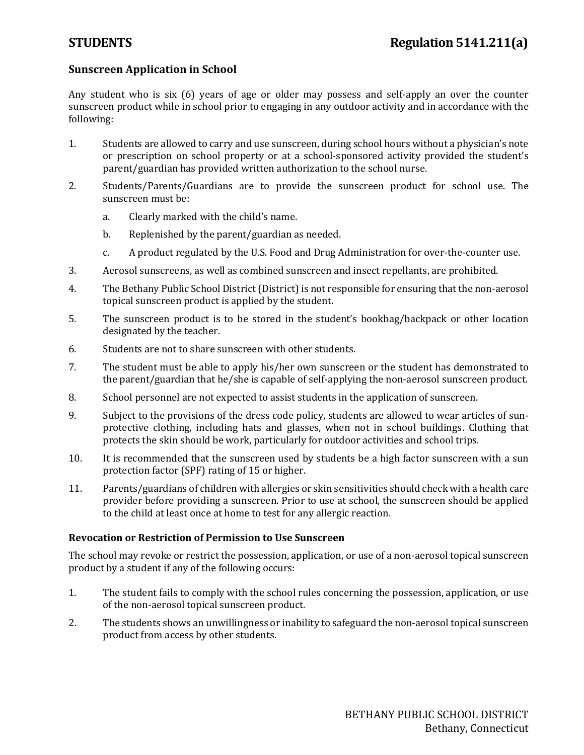## **Sunscreen Application in School**

Any student who is six (6) years of age or older may possess and self-apply an over the counter sunscreen product while in school prior to engaging in any outdoor activity and in accordance with the following:

- 1. Students are allowed to carry and use sunscreen, during school hours without a physician's note or prescription on school property or at a school-sponsored activity provided the student's parent/guardian has provided written authorization to the school nurse.
- 2. Students/Parents/Guardians are to provide the sunscreen product for school use. The sunscreen must be:
	- a. Clearly marked with the child's name.
	- b. Replenished by the parent/guardian as needed.
	- c. A product regulated by the U.S. Food and Drug Administration for over-the-counter use.
- 3. Aerosol sunscreens, as well as combined sunscreen and insect repellants, are prohibited.
- 4. The Bethany Public School District (District) is not responsible for ensuring that the non-aerosol topical sunscreen product is applied by the student.
- 5. The sunscreen product is to be stored in the student's bookbag/backpack or other location designated by the teacher.
- 6. Students are not to share sunscreen with other students.
- 7. The student must be able to apply his/her own sunscreen or the student has demonstrated to the parent/guardian that he/she is capable of self-applying the non-aerosol sunscreen product.
- 8. School personnel are not expected to assist students in the application of sunscreen.
- 9. Subject to the provisions of the dress code policy, students are allowed to wear articles of sunprotective clothing, including hats and glasses, when not in school buildings. Clothing that protects the skin should be work, particularly for outdoor activities and school trips.
- 10. It is recommended that the sunscreen used by students be a high factor sunscreen with a sun protection factor (SPF) rating of 15 or higher.
- 11. Parents/guardians of children with allergies or skin sensitivities should check with a health care provider before providing a sunscreen. Prior to use at school, the sunscreen should be applied to the child at least once at home to test for any allergic reaction.

## **Revocation or Restriction of Permission to Use Sunscreen**

The school may revoke or restrict the possession, application, or use of a non-aerosol topical sunscreen product by a student if any of the following occurs:

- 1. The student fails to comply with the school rules concerning the possession, application, or use of the non-aerosol topical sunscreen product.
- 2. The students shows an unwillingness or inability to safeguard the non-aerosol topical sunscreen product from access by other students.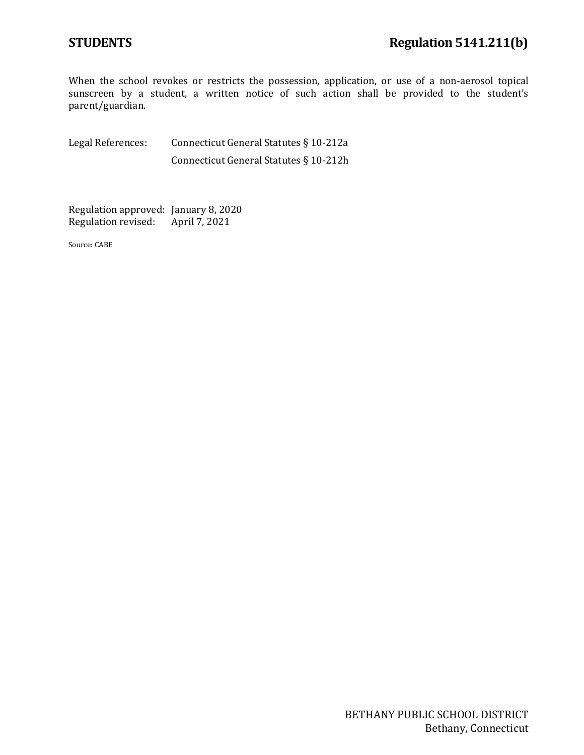When the school revokes or restricts the possession, application, or use of a non-aerosol topical sunscreen by a student, a written notice of such action shall be provided to the student's parent/guardian.

Legal References: Connecticut General Statutes § 10-212a Connecticut General Statutes § 10-212h

Regulation approved: January 8, 2020 Regulation revised: April 7, 2021

Source: CABE